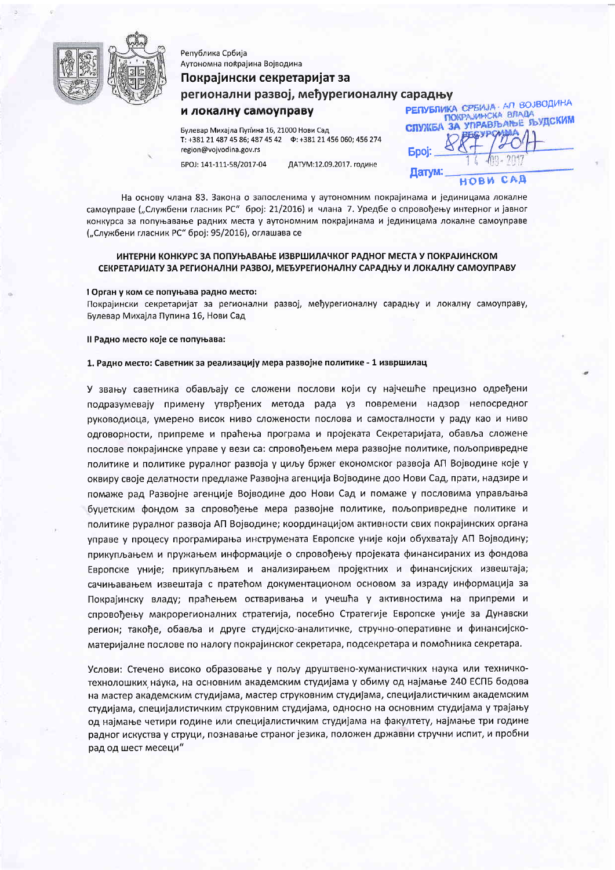

# Аутономна покрајина Војводина Покрајински секретаријат за регионални развој, међурегионалну сарадњу

## и локалну самоуправу

Република Србија

Булевар Михајла Пупина 16, 21000 Нови Сад region@vojvodina.gov.rs

EPOJ: 141-111-58/2017-04 ДАТУМ:12.09.2017. године **РЕПУБЛИКА СРЕМЈА - АЛ ВОЈВОДИНА** СЛУЖБА ЗА УПРАВЉАЊЕ ЉУДСКИМ **Epoi:** Датум:  $C A$ **ИОВИ** 

На основу члана 83. Закона о запосленима у аутономним покрајинама и јединицама локалне самоуправе ("Службени гласник РС" број: 21/2016) и члана 7. Уредбе о спровођењу интерног и јавног конкурса за попуњавање радних места у аутономним покрајинама и јединицама локалне самоуправе ("Службени гласник РС" број: 95/2016), оглашава се

#### ИНТЕРНИ КОНКУРС ЗА ПОПУЊАВАЊЕ ИЗВРШИЛАЧКОГ РАДНОГ МЕСТА У ПОКРАЈИНСКОМ СЕКРЕТАРИЈАТУ ЗА РЕГИОНАЛНИ РАЗВОЈ, МЕЂУРЕГИОНАЛНУ САРАДЊУ И ЛОКАЛНУ САМОУПРАВУ

#### 1 Орган у ком се попуњава радно место:

Покрајински секретаријат за регионални развој, међурегионалну сарадњу и локалну самоуправу, Булевар Михајла Пупина 16, Нови Сад

Il Радно место које се попуњава:

#### 1. Радно место: Саветник за реализацију мера развојне политике - 1 извршилац

У звању саветника обављају се сложени послови који су најчешће прецизно одређени подразумевају примену утврђених метода рада уз повремени надзор непосредног руководиоца, умерено висок ниво сложености послова и самосталности у раду као и ниво одговорности, припреме и праћења програма и пројеката Секретаријата, обавља сложене послове покрајинске управе у вези са: спровођењем мера развојне политике, пољопривредне политике и политике руралног развоја у циљу бржег економског развоја АП Војводине које у оквиру своје делатности предлаже Развојна агенција Војводине доо Нови Сад, прати, надзире и помаже рад Развојне агенције Војводине доо Нови Сад и помаже у пословима управљања буџетским фондом за спровођење мера развојне политике, пољопривредне политике и политике руралног развоја АП Војводине; координацијом активности свих покрајинских органа управе у процесу програмирања инструмената Европске уније који обухватају АП Војводину; прикупљањем и пружањем информације о спровођењу пројеката финансираних из фондова Европске уније; прикупљањем и анализирањем пројектних и финансијских извештаја; сачињавањем извештаја с пратећом документационом основом за израду информација за Покрајинску владу; праћењем остваривања и учешћа у активностима на припреми и спровођењу макрорегионалних стратегија, посебно Стратегије Европске уније за Дунавски регион; такође, обавља и друге студијско-аналитичке, стручно-оперативне и финансијскоматеријалне послове по налогу покрајинског секретара, подсекретара и помоћника секретара.

Услови: Стечено високо образовање у пољу друштвено-хуманистичких наука или техничкотехнолошких наука, на основним академским студијама у обиму од најмање 240 ЕСПБ бодова на мастер академским студијама, мастер струковним студијама, специјалистичким академским студијама, специјалистичким струковним студијама, односно на основним студијама у трајању од најмање четири године или специјалистичким студијама на факултету, најмање три године радног искуства у струци, познавање страног језика, положен државни стручни испит, и пробни рад од шест месеци"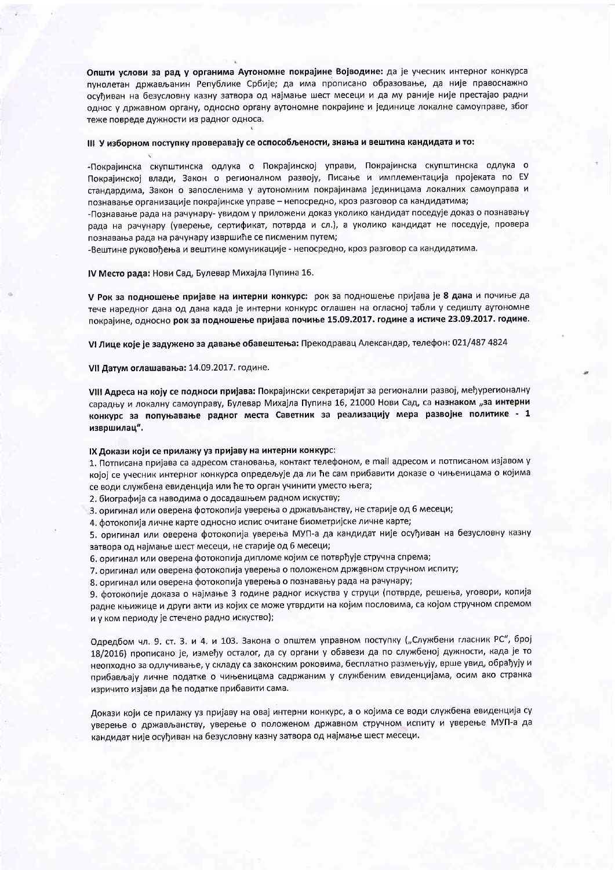Општи услови за рад у органима Аутономне покрајине Војводине: да је учесник интерног конкурса пунолетан држављанин Републике Србије; да има прописано образовање, да није правоснажно осуђиван на безусловну казну затвора од најмање шест месеци и да му раније није престајао радни однос у државном органу, односно органу аутономне покрајине и јединице локалне самоуправе, због теже повреде дужности из радног односа.

#### III У изборном поступку проверавају се оспособљености, знања и вештина кандидата и то:

-Покрајинска скупштинска одлука о Покрајинској управи, Покрајинска скупштинска одлука о Покрајинској влади, Закон о регионалном развоју, Писање и имплементација пројеката по ЕУ стандардима, Закон о запосленима у аутономним покрајинама јединицама локалних самоуправа и познавање организације покрајинске управе - непосредно, кроз разговор са кандидатима;

-Познавање рада на рачунару- увидом у приложени доказ уколико кандидат поседује доказ о познавању рада на рачунару (уверење, сертификат, потврда и сл.), а уколико кандидат не поседује, провера познавања рада на рачунару извршиће се писменим путем;

-Вештине руковођења и вештине комуникације - непосредно, кроз разговор са кандидатима.

IV Место рада: Нови Сад, Булевар Михајла Пупина 16.

V Рок за подношење пријаве на интерни конкурс: рок за подношење пријава је 8 дана и почиње да тече наредног дана од дана када је интерни конкурс оглашен на огласној табли у седишту аутономне покрајине, односно рок за подношење пријава почиње 15.09.2017. године а истиче 23.09.2017. године.

VI Лице које је задужено за давање обавештења: Прекодравац Александар, телефон: 021/487 4824

VII Датум оглашавања: 14.09.2017. године.

VIII Адреса на коју се подноси пријава: Покрајински секретаријат за регионални развој, међурегионалну сарадњу и локалну самоуправу, Булевар Михајла Пупина 16, 21000 Нови Сад, са назнаком "за интерни конкурс за попуњавање радног места Саветник за реализацију мера развојне политике - 1 извршилац".

#### IX Докази који се прилажу уз пријаву на интерни конкурс:

1. Потписана пријава са адресом становања, контакт телефоном, е mail адресом и потписаном изјавом у којој се учесник интерног конкурса опредељује да ли ће сам прибавити доказе о чињеницама о којима се води службена евиденција или ће то орган учинити уместо њега;

2. биографија са наводима о досадашњем радном искуству;

3. оригинал или оверена фотокопија уверења о држављанству, не старије од 6 месеци;

4. фотокопија личне карте односно испис очитане биометријске личне карте;

5. оригинал или оверена фотокопија уверења МУП-а да кандидат није осуђиван на безусловну казну затвора од најмање шест месеци, не старије од 6 месеци;

6. оригинал или оверена фотокопија дипломе којим се потврђује стручна спрема;

7. оригинал или оверена фотокопија уверења о положеном државном стручном испиту;

8. оригинал или оверена фотокопија уверења о познавању рада на рачунару;

9. фотокопије доказа о најмање 3 године радног искуства у струци (потврде, решења, уговори, копија радне књижице и други акти из којих се може утврдити на којим пословима, са којом стручном спремом и у ком периоду је стечено радно искуство);

Одредбом чл. 9. ст. 3. и 4. и 103. Закона о општем управном поступку ("Службени гласник РС", број 18/2016) прописано је, између осталог, да су органи у обавези да по службеној дужности, када је то неопходно за одлучивање, у складу са законским роковима, бесплатно размењују, врше увид, обрађују и прибављају личне податке о чињеницама садржаним у службеним евиденцијама, осим ако странка изричито изјави да ће податке прибавити сама.

Докази који се прилажу уз пријаву на овај интерни конкурс, а о којима се води службена евиденција су уверење о држављанству, уверење о положеном државном стручном испиту и уверење МУП-а да кандидат није осуђиван на безусловну казну затвора од најмање шест месеци.